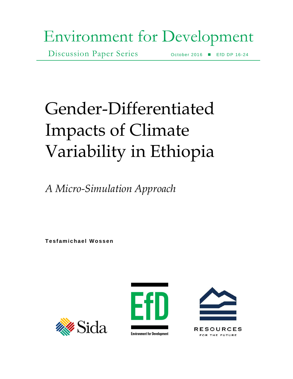# Environment for Development

Discussion Paper Series October 2016 EfD DP 16-24

# Gender-Differentiated Impacts of Climate Variability in Ethiopia

*A Micro-Simulation Approach*

**Te sf amic ha el Woss en**





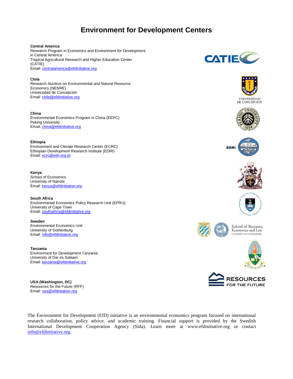# **Environment for Development Centers**

#### **Central America**

Research Program in Economics and Environment for Development in Central America Tropical Agricultural Research and Higher Education Center (CATIE) Email: [centralamerica@efdinitiative.org](mailto:centralamerica@efdinitiative.org)

**Chile** Research Nucleus on Environmental and Natural Resource Economics (NENRE) Universidad de Concepción Email: [chile@efdinitiative.org](mailto:chile@efdinitiative.org)

**China**  Environmental Economics Program in China (EEPC) Peking University Email: [china@efdinitiative.org](mailto:china@efdinitiative.org)

**Ethiopia**  Environment and Climate Research Center (ECRC) Ethiopian Development Research Institute (EDRI) Email: [ecrc@edri.org.et](mailto:ecrc@edri.org.et)

**Kenya**  School of Economics University of Nairobi Email: [kenya@efdinitiative.org](mailto:kenya@efdinitiative.org)

**South Africa** Environmental Economics Policy Research Unit (EPRU) University of Cape Town Email: [southafrica@efdinitiative.org](mailto:southafrica@efdinitiative.org) 

**Sweden** Environmental Economics Unit University of Gothenburg Email: [info@efdinitiative.org](mailto:info@efdinitiative.org) **Example 2008** UNIVERSITY OF GOTHENBURG

**Tanzania** Environment for Development Tanzania University of Dar es Salaam Email: [tanzania@efdinitiative.org](mailto:tanzania@efdinitiative.org)

**USA (Washington, DC)** Resources for the Future (RFF) Email: [usa@efdintiative.org](mailto:usa@efdintiative.org)

The Environment for Development (EfD) initiative is an environmental economics program focused on international research collaboration, policy advice, and academic training. Financial support is provided by the Swedish International Development Cooperation Agency (Sida). Learn more at www.efdinitiative.org or contact [info@efdinitiative.org.](mailto:info@efdinitiative.org)





**UNIVERSIDAD** DE CONCEPCION











School of Business, Economics and Law







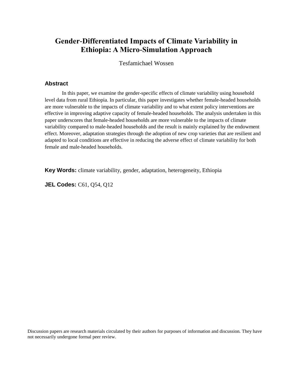# **Gender-Differentiated Impacts of Climate Variability in Ethiopia: A Micro-Simulation Approach**

Tesfamichael Wossen

## **Abstract**

In this paper, we examine the gender-specific effects of climate variability using household level data from rural Ethiopia. In particular, this paper investigates whether female-headed households are more vulnerable to the impacts of climate variability and to what extent policy interventions are effective in improving adaptive capacity of female-headed households. The analysis undertaken in this paper underscores that female-headed households are more vulnerable to the impacts of climate variability compared to male-headed households and the result is mainly explained by the endowment effect. Moreover, adaptation strategies through the adoption of new crop varieties that are resilient and adapted to local conditions are effective in reducing the adverse effect of climate variability for both female and male-headed households.

**Key Words:** climate variability, gender, adaptation, heterogeneity, Ethiopia

**JEL Codes:** C61, Q54, Q12

Discussion papers are research materials circulated by their authors for purposes of information and discussion. They have not necessarily undergone formal peer review.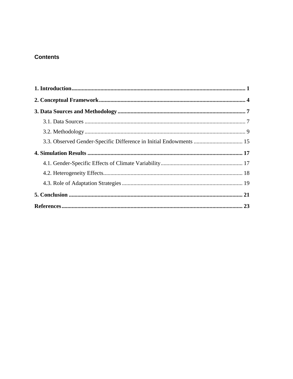# **Contents**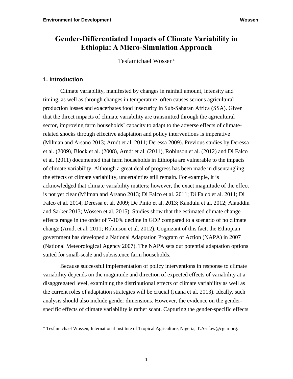# **Gender-Differentiated Impacts of Climate Variability in Ethiopia: A Micro-Simulation Approach**

Tesfamichael Wossen

## **1. Introduction**

 $\overline{a}$ 

Climate variability, manifested by changes in rainfall amount, intensity and timing, as well as through changes in temperature, often causes serious agricultural production losses and exacerbates food insecurity in Sub-Saharan Africa (SSA). Given that the direct impacts of climate variability are transmitted through the agricultural sector, improving farm households' capacity to adapt to the adverse effects of climaterelated shocks through effective adaptation and policy interventions is imperative (Milman and Arsano 2013; Arndt et al. 2011; Deressa 2009). Previous studies by Deressa et al. (2009), Block et al. (2008), Arndt et al. (2011), Robinson et al. (2012) and Di Falco et al. (2011) documented that farm households in Ethiopia are vulnerable to the impacts of climate variability. Although a great deal of progress has been made in disentangling the effects of climate variability, uncertainties still remain. For example, it is acknowledged that climate variability matters; however, the exact magnitude of the effect is not yet clear (Milman and Arsano 2013; Di Falco et al. 2011; Di Falco et al. 2011; Di Falco et al. 2014; Deressa et al. 2009; De Pinto et al. 2013; Kandulu et al. 2012; Alauddin and Sarker 2013; Wossen et al. 2015). Studies show that the estimated climate change effects range in the order of 7-10% decline in GDP compared to a scenario of no climate change (Arndt et al. 2011; Robinson et al. 2012). Cognizant of this fact, the Ethiopian government has developed a National Adaptation Program of Action (NAPA) in 2007 (National Meteorological Agency 2007). The NAPA sets out potential adaptation options suited for small-scale and subsistence farm households.

Because successful implementation of policy interventions in response to climate variability depends on the magnitude and direction of expected effects of variability at a disaggregated level, examining the distributional effects of climate variability as well as the current roles of adaptation strategies will be crucial (Juana et al. 2013). Ideally, such analysis should also include gender dimensions. However, the evidence on the genderspecific effects of climate variability is rather scant. Capturing the gender-specific effects

Tesfamichael Wossen, International Institute of Tropical Agriculture, Nigeria, T.Assfaw@cgiar.org.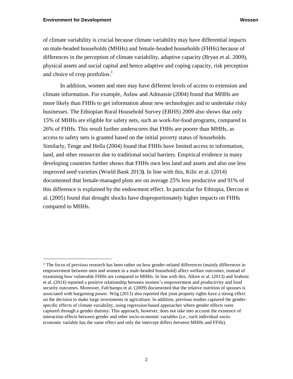$\overline{a}$ 

of climate variability is crucial because climate variability may have differential impacts on male-headed households (MHHs) and female-headed households (FHHs) because of differences in the perception of climate variability, adaptive capacity (Bryan et al. 2009), physical assets and social capital and hence adaptive and coping capacity, risk perception and choice of crop portfolios.<sup>1</sup>

In addition, women and men may have different levels of access to extension and climate information. For example, Asfaw and Admassie (2004) found that MHHs are more likely than FHHs to get information about new technologies and to undertake risky businesses. The Ethiopian Rural Household Survey (ERHS) 2009 also shows that only 15% of MHHs are eligible for safety nets, such as work-for-food programs, compared to 26% of FHHs. This result further underscores that FHHs are poorer than MHHs, as access to safety nets is granted based on the initial poverty status of households. Similarly, Tenge and Hella (2004) found that FHHs have limited access to information, land, and other resources due to traditional social barriers. Empirical evidence in many developing countries further shows that FHHs own less land and assets and also use less improved seed varieties (World Bank 2013**)**. In line with this, Kilic et al. (2014) documented that female-managed plots are on average 25% less productive and 91% of this difference is explained by the endowment effect. In particular for Ethiopia, Dercon et al. (2005) found that drought shocks have disproportionately higher impacts on FHHs compared to MHHs.

 $<sup>1</sup>$  The focus of previous research has been rather on how gender-related differences (mainly differences in</sup> empowerment between men and women in a male-headed household) affect welfare outcomes, instead of examining how vulnerable FHHs are compared to MHHs. In line with this, Alkire et al. (2013) and Sraboni et al. (2014) reported a positive relationship between women's empowerment and productivity and food security outcomes. Moreover, Fafchamps et al. (2009) documented that the relative nutrition of spouses is associated with bargaining power. Wiig (2013) also reported that joint property rights have a strong effect on the decision to make large investments in agriculture. In addition, previous studies captured the genderspecific effects of climate variability, using regression-based approaches where gender effects were captured through a gender dummy. This approach, however, does not take into account the existence of interaction effects between gender and other socio-economic variables (i,e., each individual socioeconomic variable has the same effect and only the intercept differs between MHHs and FFHs).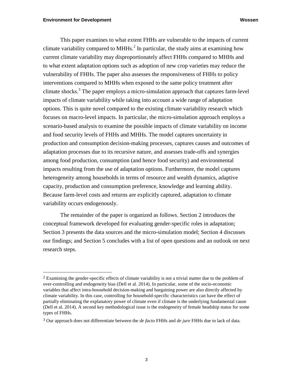$\overline{a}$ 

This paper examines to what extent FHHs are vulnerable to the impacts of current climate variability compared to MHHs.<sup>2</sup> In particular, the study aims at examining how current climate variability may disproportionately affect FHHs compared to MHHs and to what extent adaptation options such as adoption of new crop varieties may reduce the vulnerability of FHHs. The paper also assesses the responsiveness of FHHs to policy interventions compared to MHHs when exposed to the same policy treatment after climate shocks. 3 The paper employs a micro-simulation approach that captures farm-level impacts of climate variability while taking into account a wide range of adaptation options. This is quite novel compared to the existing climate variability research which focuses on macro-level impacts. In particular, the micro-simulation approach employs a scenario-based analysis to examine the possible impacts of climate variability on income and food security levels of FHHs and MHHs. The model captures uncertainty in production and consumption decision-making processes, captures causes and outcomes of adaptation processes due to its recursive nature, and assesses trade-offs and synergies among food production, consumption (and hence food security) and environmental impacts resulting from the use of adaptation options. Furthermore, the model captures heterogeneity among households in terms of resource and wealth dynamics, adaptive capacity, production and consumption preference, knowledge and learning ability. Because farm-level costs and returns are explicitly captured, adaptation to climate variability occurs endogenously.

The remainder of the paper is organized as follows. Section 2 introduces the conceptual framework developed for evaluating gender-specific roles in adaptation; Section 3 presents the data sources and the micro-simulation model; Section 4 discusses our findings; and Section 5 concludes with a list of open questions and an outlook on next research steps.

<sup>&</sup>lt;sup>2</sup> Examining the gender-specific effects of climate variability is not a trivial matter due to the problem of over-controlling and endogeneity bias (Dell et al. 2014). In particular, some of the socio-economic variables that affect intra-household decision-making and bargaining power are also directly affected by climate variability. In this case, controlling for household-specific characteristics can have the effect of partially eliminating the explanatory power of climate even if climate is the underlying fundamental cause (Dell et al. 2014). A second key methodological issue is the endogeneity of female headship status for some types of FHHs.

<sup>3</sup> Our approach does not differentiate between the *de facto* FHHs and *de jure* FHHs due to lack of data.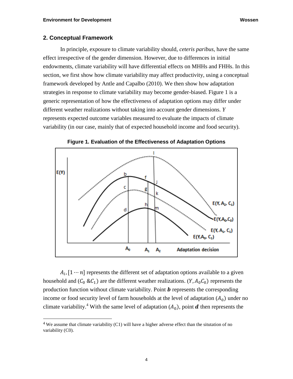#### **2. Conceptual Framework**

 $\overline{a}$ 

In principle, exposure to climate variability should, *ceteris paribus,* have the same effect irrespective of the gender dimension*.* However, due to differences in initial endowments, climate variability will have differential effects on MHHs and FHHs. In this section, we first show how climate variability may affect productivity, using a conceptual framework developed by Antle and Capalbo (2010). We then show how adaptation strategies in response to climate variability may become gender-biased. Figure 1 is a generic representation of how the effectiveness of adaptation options may differ under different weather realizations without taking into account gender dimensions. *Y* represents expected outcome variables measured to evaluate the impacts of climate variability (in our case, mainly that of expected household income and food security).



**Figure 1. Evaluation of the Effectiveness of Adaptation Options**

 $A_i$ ,  $[1 \cdots n]$  represents the different set of adaptation options available to a given household and  $(C_0 \& C_1)$  are the different weather realizations.  $(Y, A_0 C_0)$  represents the production function without climate variability. Point  $\boldsymbol{b}$  represents the corresponding income or food security level of farm households at the level of adaptation  $(A_0)$  under no climate variability.<sup>4</sup> With the same level of adaptation  $(A_0)$ , point **d** then represents the

<sup>4</sup> We assume that climate variability (C1) will have a higher adverse effect than the situtation of no variability (C0).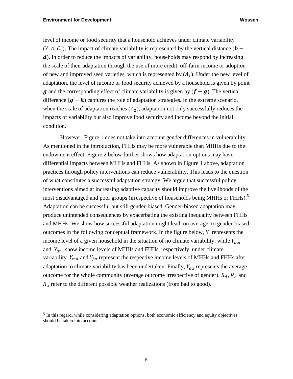$\overline{a}$ 

level of income or food security that a household achieves under climate variability  $(Y, A_0 C_1)$ . The impact of climate variability is represented by the vertical distance ( $\mathbf{b}$  – d). In order to reduce the impacts of variability, households may respond by increasing the scale of their adaptation through the use of more credit, off-farm income or adoption of new and improved seed varieties, which is represented by  $(A_1)$ . Under the new level of adaptation, the level of income or food security achieved by a household is given by point q and the corresponding effect of climate variability is given by  $(f - g)$ . The vertical difference  $(g - h)$  captures the role of adaptation strategies. In the extreme scenario, when the scale of adaptation reaches  $(A_2)$ , adaptation not only successfully reduces the impacts of variability but also improve food security and income beyond the initial condition.

However, Figure 1 does not take into account gender differences in vulnerability. As mentioned in the introduction, FHHs may be more vulnerable than MHHs due to the endowment effect. Figure 2 below further shows how adaptation options may have differential impacts between MHHs and FHHs. As shown in Figure 1 above, adaptation practices through policy interventions can reduce vulnerability. This leads to the question of what constitutes a successful adaptation strategy. We argue that successful policy interventions aimed at increasing adaptive capacity should improve the livelihoods of the most disadvantaged and poor groups (irrespective of households being MHHs or FHHs).<sup>5</sup> Adaptation can be successful but still gender-biased. Gender-biased adaptation may produce unintended consequences by exacerbating the existing inequality between FHHs and MHHs. We show how successful adaptation might lead, on average, to gender-biased outcomes in the following conceptual framework. In the figure below, Y represents the income level of a given household in the situation of no climate variability, while  $Y_{mn}$ and  $Y_{an}$  show income levels of MHHs and FHHs, respectively, under climate variability.  $Y_{ma}$  and  $Y_{fn}$  represent the respective income levels of MHHs and FHHs after adaptation to climate variability has been undertaken. Finally,  $Y_{aa}$  represents the average outcome for the whole community (average outcome irrespective of gender).  $R_d$ ,  $R_h$  and  $R_a$  refer to the different possible weather realizations (from bad to good).

<sup>5</sup> In this regard, while considering adaptation options, both economic efficiency and equity objectives should be taken into account.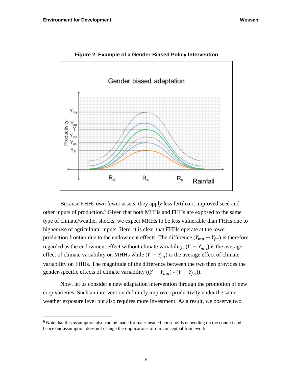$\overline{a}$ 



**Figure 2. Example of a Gender-Biased Policy Intervention**

Because FHHs own fewer assets, they apply less fertilizer, improved seed and other inputs of production.<sup>6</sup> Given that both MHHs and FHHs are exposed to the same type of climate/weather shocks, we expect MHHs to be less vulnerable than FHHs due to higher use of agricultural inputs. Here, it is clear that FHHs operate at the lower production frontier due to the endowment effects. The difference  $(Y_{mn} - Y_{fn})$  is therefore regarded as the endowment effect without climate variability.  $(Y - Y_{mn})$  is the average effect of climate variability on MHHs while  $(Y - Y_{fn})$  is the average effect of climate variability on FHHs. The magnitude of the difference between the two then provides the gender-specific effects of climate variability  $((Y - Y_{mn}) - (Y - Y_{fn})).$ 

Now, let us consider a new adaptation intervention through the promotion of new crop varieties. Such an intervention definitely improves productivity under the same weather exposure level but also requires more investment. As a result, we observe two

 $6$  Note that this assumption also can be made for male-headed households depending on the context and hence our assumption does not change the implications of our conceptual framework.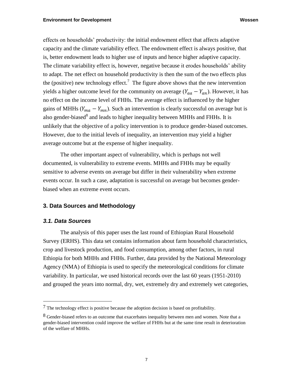effects on households' productivity: the initial endowment effect that affects adaptive capacity and the climate variability effect. The endowment effect is always positive, that is, better endowment leads to higher use of inputs and hence higher adaptive capacity. The climate variability effect is, however, negative because it erodes households' ability to adapt. The net effect on household productivity is then the sum of the two effects plus the (positive) new technology effect.<sup>7</sup> The figure above shows that the new intervention yields a higher outcome level for the community on average  $(Y_{aa} - Y_{an})$ . However, it has no effect on the income level of FHHs. The average effect is influenced by the higher gains of MHHs ( $Y_{ma} - Y_{mn}$ ). Such an intervention is clearly successful on average but is also gender-biased $^8$  and leads to higher inequality between MHHs and FHHs. It is unlikely that the objective of a policy intervention is to produce gender-biased outcomes. However, due to the initial levels of inequality, an intervention may yield a higher average outcome but at the expense of higher inequality.

The other important aspect of vulnerability, which is perhaps not well documented, is vulnerability to extreme events. MHHs and FHHs may be equally sensitive to adverse events on average but differ in their vulnerability when extreme events occur. In such a case, adaptation is successful on average but becomes genderbiased when an extreme event occurs.

#### **3. Data Sources and Methodology**

#### *3.1. Data Sources*

 $\overline{a}$ 

The analysis of this paper uses the last round of Ethiopian Rural Household Survey (ERHS). This data set contains information about farm household characteristics, crop and livestock production, and food consumption, among other factors, in rural Ethiopia for both MHHs and FHHs. Further, data provided by the National Meteorology Agency (NMA) of Ethiopia is used to specify the meteorological conditions for climate variability. In particular, we used historical records over the last 60 years (1951-2010) and grouped the years into normal, dry, wet, extremely dry and extremely wet categories,

<sup>7</sup> The technology effect is positive because the adoption decision is based on profitability.

 $8$  Gender-biased refers to an outcome that exacerbates inequality between men and women. Note that a gender-biased intervention could improve the welfare of FHHs but at the same time result in deterioration of the welfare of MHHs.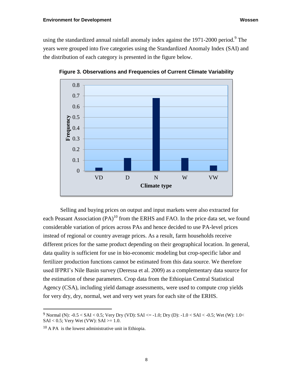using the standardized annual rainfall anomaly index against the 1971-2000 period.<sup>9</sup> The years were grouped into five categories using the Standardized Anomaly Index (SAI) and the distribution of each category is presented in the figure below.



**Figure 3. Observations and Frequencies of Current Climate Variability**

Selling and buying prices on output and input markets were also extracted for each Peasant Association  $(PA)^{10}$  from the ERHS and FAO. In the price data set, we found considerable variation of prices across PAs and hence decided to use PA-level prices instead of regional or country average prices. As a result, farm households receive different prices for the same product depending on their geographical location. In general, data quality is sufficient for use in bio-economic modeling but crop-specific labor and fertilizer production functions cannot be estimated from this data source. We therefore used IFPRI's Nile Basin survey (Deressa et al. 2009) as a complementary data source for the estimation of these parameters. Crop data from the Ethiopian Central Statistical Agency (CSA), including yield damage assessments, were used to compute crop yields for very dry, dry, normal, wet and very wet years for each site of the ERHS.

 $\overline{a}$ 

<sup>9</sup> Normal (N):  $-0.5 < SAI < 0.5$ ; Very Dry (VD):  $SAI \le -1.0$ ; Dry (D):  $-1.0 < SAI < 0.5$ ; Wet (W):  $1.0 <$  $SAI < 0.5$ ; Very Wet (VW):  $SAI > = 1.0$ .

<sup>10</sup> A PA is the lowest administrative unit in Ethiopia.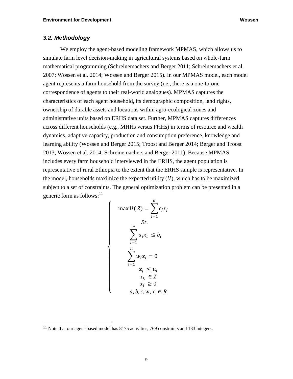# *3.2. Methodology*

We employ the agent-based modeling framework MPMAS, which allows us to simulate farm level decision-making in agricultural systems based on whole-farm mathematical programming (Schreinemachers and Berger 2011; Schreinemachers et al. 2007; Wossen et al. 2014; Wossen and Berger 2015). In our MPMAS model, each model agent represents a farm household from the survey (i.e., there is a one-to-one correspondence of agents to their real-world analogues). MPMAS captures the characteristics of each agent household, its demographic composition, land rights, ownership of durable assets and locations within agro-ecological zones and administrative units based on ERHS data set. Further, MPMAS captures differences across different households (e.g., MHHs versus FHHs) in terms of resource and wealth dynamics, adaptive capacity, production and consumption preference, knowledge and learning ability (Wossen and Berger 2015; Troost and Berger 2014; Berger and Troost 2013; Wossen et al. 2014; Schreinemachers and Berger 2011). Because MPMAS includes every farm household interviewed in the ERHS, the agent population is representative of rural Ethiopia to the extent that the ERHS sample is representative. In the model, households maximize the expected utility  $(U)$ , which has to be maximized subject to a set of constraints. The general optimization problem can be presented in a generic form as follows:<sup>11</sup>

$$
\begin{cases}\n\max U(Z) = \sum_{j=1}^{n} c_j x_j \\
\sum_{i=1}^{n} a_i x_i \le b_i \\
\sum_{i=1}^{n} w_i x_i = 0 \\
\sum_{i=1}^{n} w_i x_i \le u_j \\
x_k \in Z \\
x_j \ge 0 \\
a, b, c, w, x \in R\n\end{cases}
$$

 $\overline{\mathcal{L}}$  $\mathbf{I}$  $\mathbf{I}$  $\mathbf{I}$  $\mathbf{I}$  $\mathbf{I}$  $\mathbf{I}$  $\mathbf{I}$ 

 $\overline{a}$ 

 $\mathbf{I}$  $\mathbf{I}$  $\mathbf{I}$  $\mathbf{I}$  $\mathbf{I}$  $\mathbf{I}$ 

<sup>&</sup>lt;sup>11</sup> Note that our agent-based model has 8175 activities, 769 constraints and 133 integers.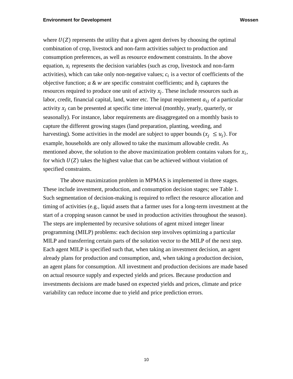where  $U(Z)$  represents the utility that a given agent derives by choosing the optimal combination of crop, livestock and non-farm activities subject to production and consumption preferences, as well as resource endowment constraints. In the above equation,  $x_i$  represents the decision variables (such as crop, livestock and non-farm activities), which can take only non-negative values;  $c_i$  is a vector of coefficients of the objective function;  $a \& w$  are specific constraint coefficients; and  $b_i$  captures the resources required to produce one unit of activity  $x_j$ . These include resources such as labor, credit, financial capital, land, water etc. The input requirement  $a_{ij}$  of a particular activity  $x_i$  can be presented at specific time interval (monthly, yearly, quarterly, or seasonally). For instance, labor requirements are disaggregated on a monthly basis to capture the different growing stages (land preparation, planting, weeding, and harvesting). Some activities in the model are subject to upper bounds  $(x_i \le u_i)$ . For example, households are only allowed to take the maximum allowable credit. As mentioned above, the solution to the above maximization problem contains values for  $x_i$ , for which  $U(Z)$  takes the highest value that can be achieved without violation of specified constraints.

The above maximization problem in MPMAS is implemented in three stages. These include investment, production, and consumption decision stages; see Table 1. Such segmentation of decision-making is required to reflect the resource allocation and timing of activities (e.g., liquid assets that a farmer uses for a long-term investment at the start of a cropping season cannot be used in production activities throughout the season). The steps are implemented by recursive solutions of agent mixed integer linear programming (MILP) problems: each decision step involves optimizing a particular MILP and transferring certain parts of the solution vector to the MILP of the next step. Each agent MILP is specified such that, when taking an investment decision, an agent already plans for production and consumption, and, when taking a production decision, an agent plans for consumption. All investment and production decisions are made based on actual resource supply and expected yields and prices. Because production and investments decisions are made based on expected yields and prices, climate and price variability can reduce income due to yield and price prediction errors.

10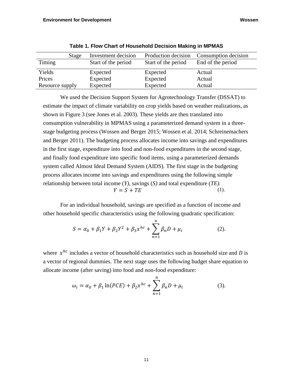|                 | Stage | Investment decision | Production decision | Consumption decision |
|-----------------|-------|---------------------|---------------------|----------------------|
| Timing          |       | Start of the period | Start of the period | End of the period    |
| Yields          |       | Expected            | Expected            | Actual               |
| Prices          |       | Expected            | Expected            | Actual               |
| Resource supply |       | Expected            | Expected            | Actual               |

**Table 1. Flow Chart of Household Decision Making in MPMAS** 

We used the Decision Support System for Agrotechnology Transfer (DSSAT) to estimate the impact of climate variability on crop yields based on weather realizations, as shown in Figure 3 (see Jones et al. 2003). These yields are then translated into consumption vulnerability in MPMAS using a parameterized demand system in a threestage budgeting process (Wossen and Berger 2015; Wossen et al. 2014; Schreinemachers and Berger 2011). The budgeting process allocates income into savings and expenditures in the first stage, expenditure into food and non-food expenditures in the second stage, and finally food expenditure into specific food items, using a parameterized demands system called Almost Ideal Demand System (AIDS). The first stage in the budgeting process allocates income into savings and expenditures using the following simple relationship between total income (*Y),* savings (*S)* and total expenditure (*TE).*  $Y = S + TE$  (1).

For an individual household, savings are specified as a function of income and other household specific characteristics using the following quadratic specification:

$$
S = \alpha_0 + \beta_1 Y + \beta_2 Y^2 + \beta_3 x^{hc} + \sum_{n=1}^{n} \beta_n D + \mu_i
$$
 (2).

where  $x^{hc}$  includes a vector of household characteristics such as household size and D is a vector of regional dummies. The next stage uses the following budget share equation to allocate income (after saving) into food and non-food expenditure:

$$
\omega_i = \alpha_0 + \beta_1 \ln(PCE) + \beta_2 x^{hc} + \sum_{n=1}^{n} \beta_n D + \mu_i
$$
 (3).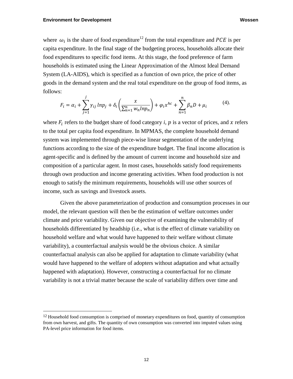$\overline{a}$ 

where  $\omega_i$  is the share of food expenditure<sup>12</sup> from the total expenditure and PCE is per capita expenditure. In the final stage of the budgeting process, households allocate their food expenditures to specific food items. At this stage, the food preference of farm households is estimated using the Linear Approximation of the Almost Ideal Demand System (LA-AIDS), which is specified as a function of own price, the price of other goods in the demand system and the real total expenditure on the group of food items, as follows:

$$
F_i = \alpha_i + \sum_{j=1}^j \gamma_{ij} \ln p_j + \delta_i \left( \frac{x}{\sum_{n=1}^n w_n \ln p_n} \right) + \varphi_i x^{hc} + \sum_{n=1}^n \beta_n D + \mu_i \tag{4}.
$$

where  $F_i$  refers to the budget share of food category *i*,  $p$  is a vector of prices, and  $x$  refers to the total per capita food expenditure. In MPMAS, the complete household demand system was implemented through piece-wise linear segmentation of the underlying functions according to the size of the expenditure budget. The final income allocation is agent-specific and is defined by the amount of current income and household size and composition of a particular agent. In most cases, households satisfy food requirements through own production and income generating activities. When food production is not enough to satisfy the minimum requirements, households will use other sources of income, such as savings and livestock assets.

Given the above parameterization of production and consumption processes in our model, the relevant question will then be the estimation of welfare outcomes under climate and price variability. Given our objective of examining the vulnerability of households differentiated by headship (i.e., what is the effect of climate variability on household welfare and what would have happened to their welfare without climate variability), a counterfactual analysis would be the obvious choice. A similar counterfactual analysis can also be applied for adaptation to climate variability (what would have happened to the welfare of adopters without adaptation and what actually happened with adaptation). However, constructing a counterfactual for no climate variability is not a trivial matter because the scale of variability differs over time and

<sup>&</sup>lt;sup>12</sup> Household food consumption is comprised of monetary expenditures on food, quantity of consumption from own harvest, and gifts. The quantity of own consumption was converted into imputed values using PA-level price information for food items.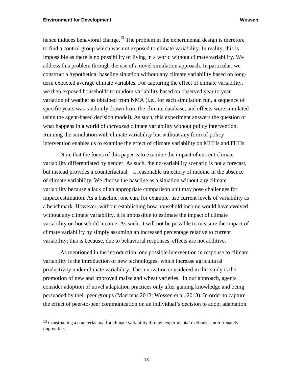$\overline{a}$ 

hence induces behavioral change.<sup>13</sup> The problem in the experimental design is therefore to find a control group which was not exposed to climate variability. In reality, this is impossible as there is no possibility of living in a world without climate variability. We address this problem through the use of a novel simulation approach. In particular, we construct a hypothetical baseline situation without any climate variability based on longterm expected average climate variables. For capturing the effect of climate variability, we then exposed households to random variability based on observed year to year variation of weather as obtained from NMA (i.e., for each simulation run, a sequence of specific years was randomly drawn from the climate database, and effects were simulated using the agent-based decision model). As such, this experiment answers the question of what happens in a world of *increased* climate variability without policy intervention. Running the simulation with climate variability but without any form of policy intervention enables us to examine the effect of climate variability on MHHs and FHHs.

Note that the focus of this paper is to examine the impact of current climate variability differentiated by gender. As such, the no-variability scenario is not a forecast, but instead provides a counterfactual – a reasonable trajectory of income in the absence of climate variability. We choose the baseline as a situation without any climate variability because a lack of an appropriate comparison unit may pose challenges for impact estimation. As a baseline, one can, for example, use current levels of variability as a benchmark. However, without establishing how household income would have evolved without any climate variability, it is impossible to estimate the impact of climate variability on household income. As such, it will not be possible to measure the impact of climate variability by simply assuming an increased percentage relative to current variability; this is because, due to behavioral responses, effects are not additive.

As mentioned in the introduction, one possible intervention in response to climate variability is the introduction of new technologies, which increase agricultural productivity under climate variability. The innovation considered in this study is the promotion of new and improved maize and wheat varieties. In our approach, agents consider adoption of novel adaptation practices only after gaining knowledge and being persuaded by their peer groups (Maertens 2012; Wossen et al. 2013). In order to capture the effect of peer-to-peer communication on an individual's decision to adopt adaptation

<sup>&</sup>lt;sup>13</sup> Constructing a counterfactual for climate variability through experimental methods is unfortunately impossible.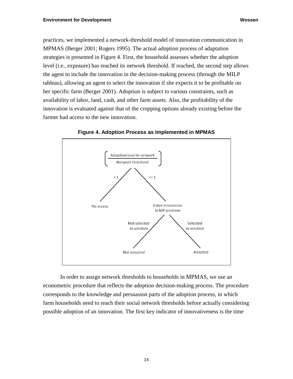practices, we implemented a network-threshold model of innovation communication in MPMAS (Berger 2001; Rogers 1995). The actual adoption process of adaptation strategies is presented in Figure 4. First, the household assesses whether the adoption level (i.e., exposure) has reached its network threshold. If reached, the second step allows the agent to include the innovation in the decision-making process (through the MILP tableau), allowing an agent to select the innovation if she expects it to be profitable on her specific farm (Berger 2001). Adoption is subject to various constraints, such as availability of labor, land, cash, and other farm assets. Also, the profitability of the innovation is evaluated against that of the cropping options already existing before the farmer had access to the new innovation.



**Figure 4. Adoption Process as Implemented in MPMAS**

In order to assign network thresholds to households in MPMAS, we use an econometric procedure that reflects the adoption decision-making process. The procedure corresponds to the knowledge and persuasion parts of the adoption process, in which farm households need to reach their social network thresholds before actually considering possible adoption of an innovation. The first key indicator of innovativeness is the time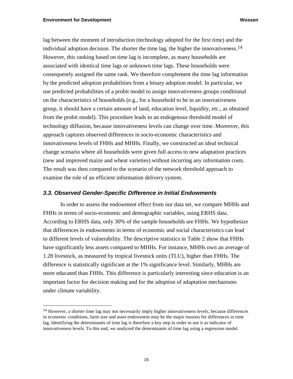$\overline{a}$ 

lag between the moment of introduction (technology adopted for the first time) and the individual adoption decision. The shorter the time lag, the higher the innovativeness.<sup>14</sup> However, this ranking based on time lag is incomplete, as many households are associated with identical time lags or unknown time lags. These households were consequently assigned the same rank. We therefore complement the time lag information by the predicted adoption probabilities from a binary adoption model. In particular, we use predicted probabilities of a probit model to assign innovativeness groups conditional on the characteristics of households (e.g., for a household to be in an innovativeness group, it should have a certain amount of land, education level, liquidity, etc., as obtained from the probit model). This procedure leads to an endogenous threshold model of technology diffusion, because innovativeness levels can change over time. Moreover, this approach captures observed differences in socio-economic characteristics and innovativeness levels of FHHs and MHHs. Finally, we constructed an ideal technical change scenario where all households were given full access to new adaptation practices (new and improved maize and wheat varieties) without incurring any information costs. The result was then compared to the scenario of the network threshold approach to examine the role of an efficient information delivery system.

## *3.3. Observed Gender-Specific Difference in Initial Endowments*

In order to assess the endowment effect from our data set, we compare MHHs and FHHs in terms of socio-economic and demographic variables, using ERHS data. According to ERHS data, only 30% of the sample households are FHHs. We hypothesize that differences in endowments in terms of economic and social characteristics can lead to different levels of vulnerability. The descriptive statistics in Table 2 show that FHHs have significantly less assets compared to MHHs. For instance, MHHs own an average of 1.28 livestock, as measured by tropical livestock units (TLU), higher than FHHs. The difference is statistically significant at the 1% significance level. Similarly, MHHs are more educated than FHHs. This difference is particularly interesting since education is an important factor for decision making and for the adoption of adaptation mechanisms under climate variability.

<sup>&</sup>lt;sup>14</sup> However, a shorter time lag may not necessarily imply higher innovativeness levels, because differences in economic conditions, farm size and asset endowment may be the major reasons for differences in time lag. Identifying the determinants of time lag is therefore a key step in order to use it as indicator of innovativeness levels. To this end, we analyzed the determinants of time lag using a regression model.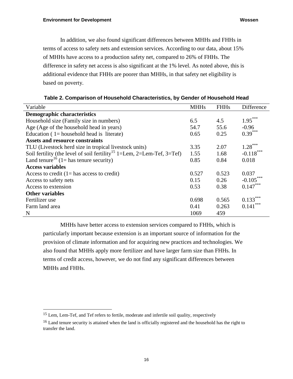In addition, we also found significant differences between MHHs and FHHs in terms of access to safety nets and extension services. According to our data, about 15% of MHHs have access to a production safety net, compared to 26% of FHHs. The difference in safety net access is also significant at the 1% level. As noted above, this is additional evidence that FHHs are poorer than MHHs, in that safety net eligibility is based on poverty.

| Variable                                                                           | <b>MHHs</b> | <b>FHHs</b> | Difference   |
|------------------------------------------------------------------------------------|-------------|-------------|--------------|
| <b>Demographic characteristics</b>                                                 |             |             |              |
| Household size (Family size in numbers)                                            | 6.5         | 4.5         | $1.95***$    |
| Age (Age of the household head in years)                                           | 54.7        | 55.6        | $-0.96$      |
| Education $(1)$ household head is literate)                                        | 0.65        | 0.25        | $0.39***$    |
| <b>Assets and resource constraints</b>                                             |             |             |              |
| TLU (Livestock herd size in tropical livestock units)                              | 3.35        | 2.07        | $1.28***$    |
| Soil fertility (the level of soil fertility <sup>15</sup> 1=Lem, 2=Lem-Tef, 3=Tef) | 1.55        | 1.68        | $-0.118***$  |
| Land tenure <sup>16</sup> (1= has tenure security)                                 | 0.85        | 0.84        | 0.018        |
| <b>Access variables</b>                                                            |             |             |              |
| Access to credit $(1 = has access to credit)$                                      | 0.527       | 0.523       | 0.037        |
| Access to safety nets                                                              | 0.15        | 0.26        | $-0.105$ *** |
| Access to extension                                                                | 0.53        | 0.38        | $0.147***$   |
| <b>Other variables</b>                                                             |             |             |              |
| Fertilizer use                                                                     | 0.698       | 0.565       | 0.133        |
| Farm land area                                                                     | 0.41        | 0.263       | 0.141        |
| N                                                                                  | 1069        | 459         |              |

**Table 2. Comparison of Household Characteristics, by Gender of Household Head**

MHHs have better access to extension services compared to FHHs, which is particularly important because extension is an important source of information for the provision of climate information and for acquiring new practices and technologies. We also found that MHHs apply more fertilizer and have larger farm size than FHHs. In terms of credit access, however, we do not find any significant differences between MHHs and FHHs.

 $\overline{a}$ 

<sup>&</sup>lt;sup>15</sup> Lem, Lem-Tef, and Tef refers to fertile, moderate and infertile soil quality, respectively

<sup>&</sup>lt;sup>16</sup> Land tenure security is attained when the land is officially registered and the household has the right to transfer the land.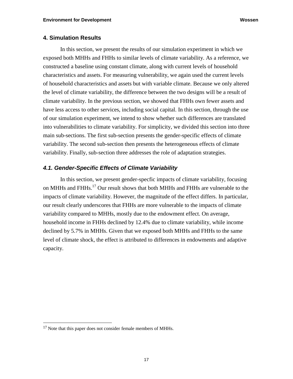## **4. Simulation Results**

In this section, we present the results of our simulation experiment in which we exposed both MHHs and FHHs to similar levels of climate variability. As a reference, we constructed a baseline using constant climate, along with current levels of household characteristics and assets. For measuring vulnerability, we again used the current levels of household characteristics and assets but with variable climate. Because we only altered the level of climate variability, the difference between the two designs will be a result of climate variability. In the previous section, we showed that FHHs own fewer assets and have less access to other services, including social capital. In this section, through the use of our simulation experiment, we intend to show whether such differences are translated into vulnerabilities to climate variability. For simplicity, we divided this section into three main sub-sections. The first sub-section presents the gender-specific effects of climate variability. The second sub-section then presents the heterogeneous effects of climate variability. Finally, sub-section three addresses the role of adaptation strategies.

#### *4.1. Gender-Specific Effects of Climate Variability*

In this section, we present gender-specfic impacts of climate variability, focusing on MHHs and FHHs.<sup>17</sup> Our result shows that both MHHs and FHHs are vulnerable to the impacts of climate variability. However, the magnitude of the effect differs. In particular, our result clearly underscores that FHHs are more vulnerable to the impacts of climate variability compared to MHHs, mostly due to the endowment effect. On average, household income in FHHs declined by 12.4% due to climate variability, while income declined by 5.7% in MHHs. Given that we exposed both MHHs and FHHs to the same level of climate shock, the effect is attributed to differences in endowments and adaptive capacity.

 $\overline{a}$ 

<sup>&</sup>lt;sup>17</sup> Note that this paper does not consider female members of MHHs.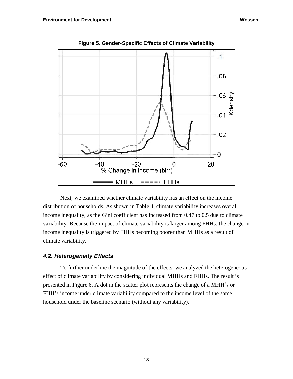

**Figure 5. Gender-Specific Effects of Climate Variability**

Next, we examined whether climate variability has an effect on the income distribution of households. As shown in Table 4, climate variability increases overall income inequality, as the Gini coefficient has increased from 0.47 to 0.5 due to climate variability. Because the impact of climate variability is larger among FHHs, the change in income inequality is triggered by FHHs becoming poorer than MHHs as a result of climate variability.

# *4.2. Heterogeneity Effects*

To further underline the magnitude of the effects, we analyzed the heterogeneous effect of climate variability by considering individual MHHs and FHHs. The result is presented in Figure 6. A dot in the scatter plot represents the change of a MHH's or FHH's income under climate variability compared to the income level of the same household under the baseline scenario (without any variability).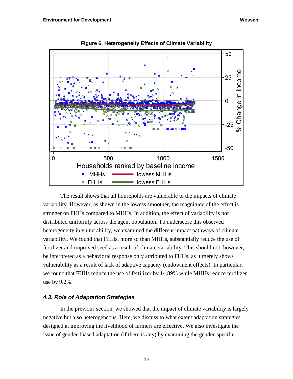

**Figure 6. Heterogeneity Effects of Climate Variability**

The result shows that all households are vulnerable to the impacts of climate variability. However, as shown in the lowess smoother, the magnitude of the effect is stronger on FHHs compared to MHHs. In addition, the effect of variability is not distributed uniformly across the agent population. To underscore this observed heterogeneity in vulnerability, we examined the different impact pathways of climate variability. We found that FHHs, more so than MHHs, substantially reduce the use of fertilizer and improved seed as a result of climate variability. This should not, however, be interpreted as a behavioral response only attributed to FHHs, as it merely shows vulnerability as a result of lack of adaptive capacity (endowment effects). In particular, we found that FHHs reduce the use of fertilizer by 14.89% while MHHs reduce fertilizer use by 9.2%.

# *4.3. Role of Adaptation Strategies*

In the previous section, we showed that the impact of climate variability is largely negative but also heterogeneous. Here, we discuss to what extent adaptation strategies designed at improving the livelihood of farmers are effective. We also investigate the issue of gender-biased adaptation (if there is any) by examining the gender-specific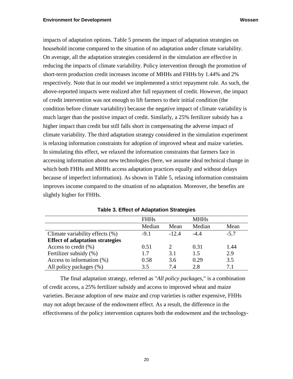impacts of adaptation options. Table 5 presents the impact of adaptation strategies on household income compared to the situation of no adaptation under climate variability. On average, all the adaptation strategies considered in the simulation are effective in reducing the impacts of climate variability. Policy intervention through the promotion of short-term production credit increases income of MHHs and FHHs by 1.44% and 2% respectively. Note that in our model we implemented a strict repayment rule. As such, the above-reported impacts were realized after full repayment of credit. However, the impact of credit intervention was not enough to lift farmers to their initial condition (the condition before climate variability) because the negative impact of climate variability is much larger than the positive impact of credit. Similarly, a 25% fertilizer subsidy has a higher impact than credit but still falls short in compensating the adverse impact of climate variability. The third adaptation strategy considered in the simulation experiment is relaxing information constraints for adoption of improved wheat and maize varieties. In simulating this effect, we relaxed the information constraints that farmers face in accessing information about new technologies (here, we assume ideal technical change in which both FHHs and MHHs access adaptation practices equally and without delays because of imperfect information). As shown in Table 5, relaxing information constraints improves income compared to the situation of no adaptation. Moreover, the benefits are slightly higher for FHHs.

|                                        | <b>FHHs</b> |         | <b>MHHs</b> |        |
|----------------------------------------|-------------|---------|-------------|--------|
|                                        | Median      | Mean    | Median      | Mean   |
| Climate variability effects (%)        | $-9.1$      | $-12.4$ | $-4.4$      | $-5.7$ |
| <b>Effect of adaptation strategies</b> |             |         |             |        |
| Access to credit $(\% )$               | 0.51        |         | 0.31        | 1.44   |
| Fertilizer subsidy (%)                 | 1.7         | 3.1     | 1.5         | 2.9    |
| Access to information $(\%)$           | 0.58        | 3.6     | 0.29        | 3.5    |
| All policy packages (%)                | 3.5         | 7.4     | 2.8         | 71     |

The final adaptation strategy, referred as "*All policy packages,*" is a combination of credit access, a 25% fertilizer subsidy and access to improved wheat and maize varieties. Because adoption of new maize and crop varieties is rather expensive, FHHs may not adopt because of the endowment effect. As a result, the difference in the effectiveness of the policy intervention captures both the endowment and the technology-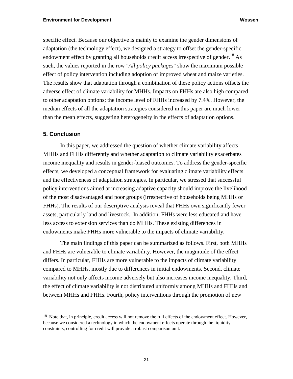specific effect. Because our objective is mainly to examine the gender dimensions of adaptation (the technology effect), we designed a strategy to offset the gender-specific endowment effect by granting all households credit access irrespective of gender.<sup>18</sup> As such, the values reported in the row "*All policy packages*" show the maximum possible effect of policy intervention including adoption of improved wheat and maize varieties. The results show that adaptation through a combination of these policy actions offsets the adverse effect of climate variability for MHHs. Impacts on FHHs are also high compared to other adaptation options; the income level of FHHs increased by 7.4%. However, the median effects of all the adaptation strategies considered in this paper are much lower than the mean effects, suggesting heterogeneity in the effects of adaptation options.

## **5. Conclusion**

 $\overline{a}$ 

In this paper, we addressed the question of whether climate variability affects MHHs and FHHs differently and whether adaptation to climate variability exacerbates income inequality and results in gender-biased outcomes. To address the gender-specific effects, we developed a conceptual framework for evaluating climate variability effects and the effectiveness of adaptation strategies. In particular, we stressed that successful policy interventions aimed at increasing adaptive capacity should improve the livelihood of the most disadvantaged and poor groups (irrespective of households being MHHs or FHHs). The results of our descriptive analysis reveal that FHHs own significantly fewer assets, particularly land and livestock. In addition, FHHs were less educated and have less access to extension services than do MHHs. These existing differences in endowments make FHHs more vulnerable to the impacts of climate variability.

The main findings of this paper can be summarized as follows. First, both MHHs and FHHs are vulnerable to climate variability. However, the magnitude of the effect differs. In particular, FHHs are more vulnerable to the impacts of climate variability compared to MHHs, mostly due to differences in initial endowments. Second, climate variability not only affects income adversely but also increases income inequality. Third, the effect of climate variability is not distributed uniformly among MHHs and FHHs and between MHHs and FHHs. Fourth, policy interventions through the promotion of new

<sup>&</sup>lt;sup>18</sup> Note that, in principle, credit access will not remove the full effects of the endowment effect. However, because we considered a technology in which the endowment effects operate through the liquidity constraints, controlling for credit will provide a robust comparison unit.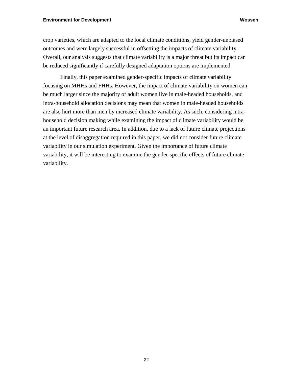crop varieties, which are adapted to the local climate conditions, yield gender-unbiased outcomes and were largely successful in offsetting the impacts of climate variability. Overall, our analysis suggests that climate variability is a major threat but its impact can be reduced significantly if carefully designed adaptation options are implemented.

Finally, this paper examined gender-specific impacts of climate variability focusing on MHHs and FHHs. However, the impact of climate variability on women can be much larger since the majority of adult women live in male-headed households, and intra-household allocation decisions may mean that women in male-headed households are also hurt more than men by increased climate variability. As such, considering intrahousehold decision making while examining the impact of climate variability would be an important future research area. In addition, due to a lack of future climate projections at the level of disaggregation required in this paper, we did not consider future climate variability in our simulation experiment. Given the importance of future climate variability, it will be interesting to examine the gender-specific effects of future climate variability.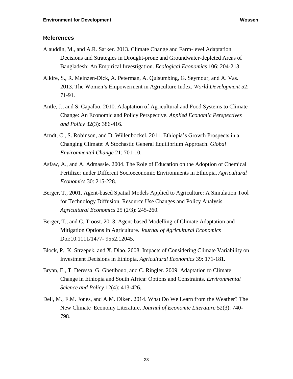## **References**

- Alauddin, M., and A.R. Sarker. 2013. Climate Change and Farm-level Adaptation Decisions and Strategies in Drought-prone and Groundwater-depleted Areas of Bangladesh: An Empirical Investigation. *Ecological Economics* 106: 204-213.
- Alkire, S., R. Meinzen-Dick, A. Peterman, A. Quisumbing, G. Seymour, and A. Vas. 2013. The Women's Empowerment in Agriculture Index. *World Development* 52: 71-91.
- Antle, J., and S. Capalbo. 2010. Adaptation of Agricultural and Food Systems to Climate Change: An Economic and Policy Perspective. *Applied Economic Perspectives and Policy* 32(3): 386-416.
- Arndt, C., S. Robinson, and D. Willenbockel. 2011. Ethiopia's Growth Prospects in a Changing Climate: A Stochastic General Equilibrium Approach. *Global Environmental Change* 21: 701-10.
- Asfaw, A., and A. Admassie. 2004. The Role of Education on the Adoption of Chemical Fertilizer under Different Socioeconomic Environments in Ethiopia. *Agricultural Economics* 30: 215-228.
- Berger, T., 2001. Agent-based Spatial Models Applied to Agriculture: A Simulation Tool for Technology Diffusion, Resource Use Changes and Policy Analysis. *Agricultural Economics* 25 (2/3): 245-260.
- Berger, T., and C. Troost. 2013. Agent-based Modelling of Climate Adaptation and Mitigation Options in Agriculture. *Journal of Agricultural Economics* Doi:10.1111/1477- 9552.12045.
- Block, P., K. Strzepek, and X. Diao. 2008. Impacts of Considering Climate Variability on Investment Decisions in Ethiopia. *Agricultural Economics* 39: 171-181.
- Bryan, E., T. Deressa, G. Gbetibouo, and C. Ringler. 2009. Adaptation to Climate Change in Ethiopia and South Africa: Options and Constraints. *Environmental Science and Policy* 12(4): 413-426.
- Dell, M., F.M. Jones, and A.M. Olken. 2014. What Do We Learn from the Weather? The New Climate–Economy Literature. *Journal of Economic Literature* 52(3): 740- 798.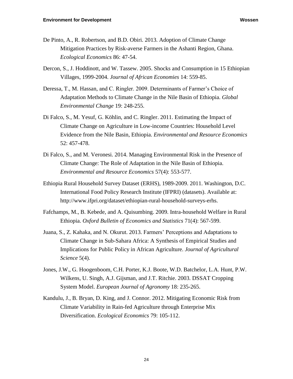- De Pinto, A., R. Robertson, and B.D. Obiri. 2013. Adoption of Climate Change Mitigation Practices by Risk-averse Farmers in the Ashanti Region, Ghana. *Ecological Economics* 86: 47-54.
- Dercon, S., J. Hoddinott, and W. Tassew. 2005. Shocks and Consumption in 15 Ethiopian Villages, 1999-2004. *Journal of African Economies* 14: 559-85.
- Deressa, T., M. Hassan, and C. Ringler. 2009. Determinants of Farmer's Choice of Adaptation Methods to Climate Change in the Nile Basin of Ethiopia. *Global Environmental Change* 19: 248-255.
- Di Falco, S., M. Yesuf, G. Köhlin, and C. Ringler. 2011. Estimating the Impact of Climate Change on Agriculture in Low-income Countries: Household Level Evidence from the Nile Basin, Ethiopia. *Environmental and Resource Economics* 52: 457-478.
- Di Falco, S., and M. Veronesi. 2014. Managing Environmental Risk in the Presence of Climate Change: The Role of Adaptation in the Nile Basin of Ethiopia. *Environmental and Resource Economics* 57(4): 553-577.
- Ethiopia Rural Household Survey Dataset (ERHS), 1989-2009. 2011. Washington, D.C. International Food Policy Research Institute (IFPRI) (datasets). Available at: http://www.ifpri.org/dataset/ethiopian-rural-household-surveys-erhs.
- Fafchamps, M., B. Kebede, and A. Quisumbing. 2009. Intra-household Welfare in Rural Ethiopia. *Oxford Bulletin of Economics and Statistics* 71(4): 567-599.
- Juana, S., Z. Kahaka, and N. Okurut. 2013. Farmers' Perceptions and Adaptations to Climate Change in Sub-Sahara Africa: A Synthesis of Empirical Studies and Implications for Public Policy in African Agriculture. *Journal of Agricultural Science* 5(4).
- Jones, J.W., G. Hoogenboom, C.H. Porter, K.J. Boote, W.D. Batchelor, L.A. Hunt, P.W. Wilkens, U. Singh, A.J. Gijsman, and J.T. Ritchie. 2003. DSSAT Cropping System Model. *European Journal of Agronomy* 18: 235-265.
- Kandulu, J., B. Bryan, D. King, and J. Connor. 2012. Mitigating Economic Risk from Climate Variability in Rain-fed Agriculture through Enterprise Mix Diversification. *Ecological Economics* 79: 105-112.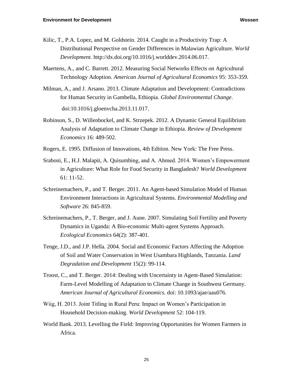- Kilic, T., P.A. Lopez, and M. Goldstein. 2014. Caught in a Productivity Trap: A Distributional Perspective on Gender Differences in Malawian Agriculture. *World Development.* http://dx.doi.org/10.1016/j.worlddev.2014.06.017.
- Maertens, A., and C. Barrett. 2012. Measuring Social Networks Effects on Agricultural Technology Adoption. *American Journal of Agricultural Economics* 95: 353-359.
- Milman, A., and J. Arsano. 2013. Climate Adaptation and Development: Contradictions for Human Security in Gambella, Ethiopia. *Global Environmental Change*. doi:10.1016/j.gloenvcha.2013.11.017.
- Robinson, S., D. Willenbockel, and K. Strzepek. 2012. A Dynamic General Equilibrium Analysis of Adaptation to Climate Change in Ethiopia. *Review of Development Economics* 16: 489-502.
- Rogers, E. 1995. Diffusion of Innovations, 4th Edition. New York: The Free Press.
- Sraboni, E., H.J. Malapit, A. Quisumbing, and A. Ahmed. 2014. Women's Empowerment in Agriculture: What Role for Food Security in Bangladesh? *World Development* 61: 11-52.
- Schreinemachers, P., and T. Berger. 2011. An Agent-based Simulation Model of Human Environment Interactions in Agricultural Systems. *Environmental Modelling and Software* 26: 845-859.
- Schreinemachers, P., T. Berger, and J. Aune. 2007. Simulating Soil Fertility and Poverty Dynamics in Uganda: A Bio-economic Multi-agent Systems Approach. *Ecological Economics* 64(2): 387-401.
- Tenge, J.D., and J.P. Hella. 2004. Social and Economic Factors Affecting the Adoption of Soil and Water Conservation in West Usambara Highlands, Tanzania. *Land Degradation and Development* 15(2): 99-114.
- Troost, C., and T. Berger. 2014: Dealing with Uncertainty in Agent-Based Simulation: Farm-Level Modelling of Adaptation to Climate Change in Southwest Germany. *American Journal of Agricultural Economics.* doi: 10.1093/ajae/aau076.
- Wiig, H. 2013. Joint Titling in Rural Peru: Impact on Women's Participation in Household Decision-making. *World Development* 52: 104-119.
- World Bank. 2013. Levelling the Field: Improving Opportunities for Women Farmers in Africa.